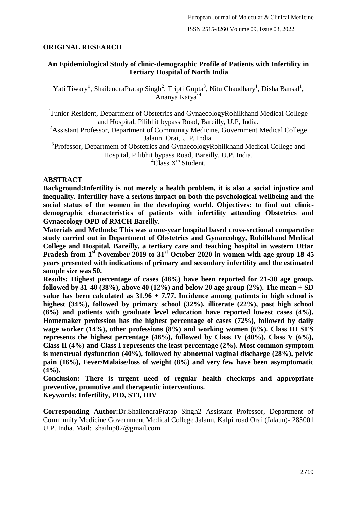# **ORIGINAL RESEARCH**

# **An Epidemiological Study of clinic-demographic Profile of Patients with Infertility in Tertiary Hospital of North India**

Yati Tiwary<sup>1</sup>, ShailendraPratap Singh<sup>2</sup>, Tripti Gupta<sup>3</sup>, Nitu Chaudhary<sup>1</sup>, Disha Bansal<sup>1</sup>, Ananya Katyal<sup>4</sup>

<sup>1</sup>Junior Resident, Department of Obstetrics and GynaecologyRohilkhand Medical College and Hospital, Pilibhit bypass Road, Bareilly, U.P, India.

<sup>2</sup>Assistant Professor, Department of Community Medicine, Government Medical College Jalaun. Orai, U.P, India.

<sup>3</sup>Professor, Department of Obstetrics and GynaecologyRohilkhand Medical College and Hospital, Pilibhit bypass Road, Bareilly, U.P, India.

 ${}^{4}$ Class  $X^{th}$  Student.

## **ABSTRACT**

**Background:Infertility is not merely a health problem, it is also a social injustice and inequality. Infertility have a serious impact on both the psychological wellbeing and the social status of the women in the developing world. Objectives: to find out clinicdemographic characteristics of patients with infertility attending Obstetrics and Gynaecology OPD of RMCH Bareilly.**

**Materials and Methods: This was a one-year hospital based cross-sectional comparative study carried out in Department of Obstetrics and Gynaecology, Rohilkhand Medical College and Hospital, Bareilly, a tertiary care and teaching hospital in western Uttar Pradesh from 1st November 2019 to 31st October 2020 in women with age group 18-45 years presented with indications of primary and secondary infertility and the estimated sample size was 50.**

**Results: Highest percentage of cases (48%) have been reported for 21-30 age group, followed by 31-40 (38%), above 40 (12%) and below 20 age group (2%). The mean + SD value has been calculated as 31.96 + 7.77. Incidence among patients in high school is highest (34%), followed by primary school (32%), illiterate (22%), post high school (8%) and patients with graduate level education have reported lowest cases (4%). Homemaker profession has the highest percentage of cases (72%), followed by daily wage worker (14%), other professions (8%) and working women (6%). Class III SES represents the highest percentage (48%), followed by Class IV (40%), Class V (6%), Class II (4%) and Class I represents the least percentage (2%). Most common symptom is menstrual dysfunction (40%), followed by abnormal vaginal discharge (28%), pelvic pain (16%), Fever/Malaise/loss of weight (8%) and very few have been asymptomatic (4%).**

**Conclusion: There is urgent need of regular health checkups and appropriate preventive, promotive and therapeutic interventions. Keywords: Infertility, PID, STI, HIV**

**Corresponding Author:**Dr.ShailendraPratap Singh2 Assistant Professor, Department of Community Medicine Government Medical College Jalaun, Kalpi road Orai (Jalaun)- 285001 U.P. India. Mail: shailup02@gmail.com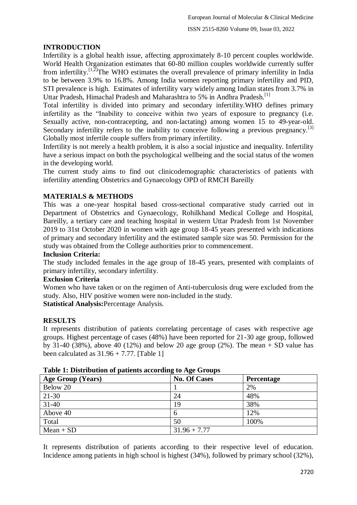# **INTRODUCTION**

Infertility is a global health issue, affecting approximately 8-10 percent couples worldwide. World Health Organization estimates that 60-80 million couples worldwide currently suffer from infertility.<sup>[1,2]</sup>The WHO estimates the overall prevalence of primary infertility in India to be between 3.9% to 16.8%. Among India women reporting primary infertility and PID, STI prevalence is high. Estimates of infertility vary widely among Indian states from 3.7% in Uttar Pradesh, Himachal Pradesh and Maharashtra to 5% in Andhra Pradesh.<sup>[1]</sup>

Total infertility is divided into primary and secondary infertility.WHO defines primary infertility as the "Inability to conceive within two years of exposure to pregnancy (i.e. Sexually active, non-contracepting, and non-lactating) among women 15 to 49-year-old. Secondary infertility refers to the inability to conceive following a previous pregnancy.<sup>[3]</sup> Globally most infertile couple suffers from primary infertility.

Infertility is not merely a health problem, it is also a social injustice and inequality. Infertility have a serious impact on both the psychological wellbeing and the social status of the women in the developing world.

The current study aims to find out clinicodemographic characteristics of patients with infertility attending Obstetrics and Gynaecology OPD of RMCH Bareilly

# **MATERIALS & METHODS**

This was a one-year hospital based cross-sectional comparative study carried out in Department of Obstetrics and Gynaecology, Rohilkhand Medical College and Hospital, Bareilly, a tertiary care and teaching hospital in western Uttar Pradesh from 1st November 2019 to 31st October 2020 in women with age group 18-45 years presented with indications of primary and secondary infertility and the estimated sample size was 50. Permission for the study was obtained from the College authorities prior to commencement.

## **Inclusion Criteria:**

The study included females in the age group of 18-45 years, presented with complaints of primary infertility, secondary infertility.

# **Exclusion Criteria**

Women who have taken or on the regimen of Anti-tuberculosis drug were excluded from the study. Also, HIV positive women were non-included in the study.

**Statistical Analysis:**Percentage Analysis.

# **RESULTS**

It represents distribution of patients correlating percentage of cases with respective age groups. Highest percentage of cases (48%) have been reported for 21-30 age group, followed by 31-40 (38%), above 40 (12%) and below 20 age group (2%). The mean  $+$  SD value has been calculated as  $31.96 + 7.77$ . [Table 1]

| Age Group (Years) | <b>No. Of Cases</b> | <b>Percentage</b> |
|-------------------|---------------------|-------------------|
| Below 20          |                     | 2%                |
| 21-30             | 24                  | 48%               |
| $31 - 40$         | 19                  | 38%               |
| Above 40          | <sub>0</sub>        | 12%               |
| Total             | 50                  | 100%              |
| $Mean + SD$       | $31.96 + 7.77$      |                   |

### **Table 1: Distribution of patients according to Age Groups**

It represents distribution of patients according to their respective level of education. Incidence among patients in high school is highest (34%), followed by primary school (32%),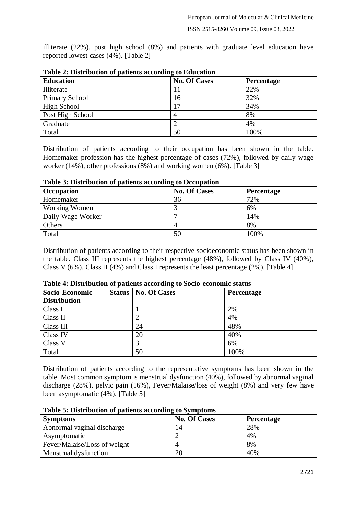illiterate (22%), post high school (8%) and patients with graduate level education have reported lowest cases (4%). [Table 2]

| <b>Education</b>      | <b>No. Of Cases</b> | <b>Percentage</b> |
|-----------------------|---------------------|-------------------|
| Illiterate            |                     | 22%               |
| <b>Primary School</b> | 16                  | 32%               |
| High School           |                     | 34%               |
| Post High School      | 4                   | 8%                |
| Graduate              | 2                   | 4%                |
| Total                 | 50                  | 100%              |

| Table 2: Distribution of patients according to Education |  |  |
|----------------------------------------------------------|--|--|
|                                                          |  |  |

Distribution of patients according to their occupation has been shown in the table. Homemaker profession has the highest percentage of cases (72%), followed by daily wage worker (14%), other professions (8%) and working women (6%). [Table 3]

| Occupation           | <b>No. Of Cases</b> | <b>Percentage</b> |  |  |
|----------------------|---------------------|-------------------|--|--|
| Homemaker            | 36                  | 72%               |  |  |
| <b>Working Women</b> |                     | 6%                |  |  |
| Daily Wage Worker    |                     | 14%               |  |  |
| Others               | 4                   | 8%                |  |  |
| Total                | 50                  | 100%              |  |  |

### **Table 3: Distribution of patients according to Occupation**

Distribution of patients according to their respective socioeconomic status has been shown in the table. Class III represents the highest percentage (48%), followed by Class IV (40%), Class V (6%), Class II (4%) and Class I represents the least percentage (2%). [Table 4]

| Socio-Economic      | <b>Status   No. Of Cases</b> | <b>Percentage</b> |
|---------------------|------------------------------|-------------------|
| <b>Distribution</b> |                              |                   |
| Class I             |                              | 2%                |
| Class II            |                              | 4%                |
| Class III           | 24                           | 48%               |
| Class IV            | 20                           | 40%               |
| Class V             |                              | 6%                |
| Total               | 50                           | 100%              |

### **Table 4: Distribution of patients according to Socio-economic status**

Distribution of patients according to the representative symptoms has been shown in the table. Most common symptom is menstrual dysfunction (40%), followed by abnormal vaginal discharge (28%), pelvic pain (16%), Fever/Malaise/loss of weight (8%) and very few have been asymptomatic (4%). [Table 5]

| <b>Symptoms</b>              | <b>No. Of Cases</b> | <b>Percentage</b> |
|------------------------------|---------------------|-------------------|
| Abnormal vaginal discharge   | 14                  | 28%               |
| Asymptomatic                 |                     | 4%                |
| Fever/Malaise/Loss of weight |                     | 8%                |
| Menstrual dysfunction        | 20                  | 40%               |

### **Table 5: Distribution of patients according to Symptoms**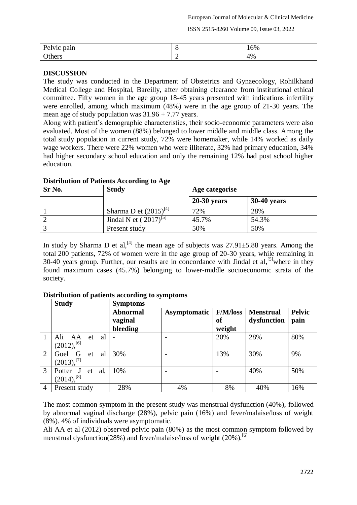ISSN 2515-8260 Volume 09, Issue 03, 2022

| Pelvic<br>pain  |          | $\sim$ $\sim$<br>$16\%$ |
|-----------------|----------|-------------------------|
| $\Omega$ others | <b>_</b> | 4%                      |

### **DISCUSSION**

The study was conducted in the Department of Obstetrics and Gynaecology, Rohilkhand Medical College and Hospital, Bareilly, after obtaining clearance from institutional ethical committee. Fifty women in the age group 18-45 years presented with indications infertility were enrolled, among which maximum (48%) were in the age group of 21-30 years. The mean age of study population was 31.96 + 7.77 years.

Along with patient's demographic characteristics, their socio-economic parameters were also evaluated. Most of the women (88%) belonged to lower middle and middle class. Among the total study population in current study, 72% were homemaker, while 14% worked as daily wage workers. There were 22% women who were illiterate, 32% had primary education, 34% had higher secondary school education and only the remaining 12% had post school higher education.

| Sr No. | <b>Study</b>               | Age categorise |                    |  |
|--------|----------------------------|----------------|--------------------|--|
|        |                            | $20-30$ years  | <b>30-40 years</b> |  |
|        | Sharma D et $(2015)^{[4]}$ | 72%            | 28%                |  |
|        | Jindal N et $(2017)^{5}$   | 45.7%          | 54.3%              |  |
|        | Present study              | 50%            | 50%                |  |

# **Distribution of Patients According to Age**

In study by Sharma D et al,<sup>[4]</sup> the mean age of subjects was  $27.91 \pm 5.88$  years. Among the total 200 patients, 72% of women were in the age group of 20-30 years, while remaining in 30-40 years group. Further, our results are in concordance with Jindal et al,<sup>[5]</sup>where in they found maximum cases (45.7%) belonging to lower-middle socioeconomic strata of the society.

|   | <b>Study</b>                               | <b>Symptoms</b>                        |              |                                        |                                 |                       |
|---|--------------------------------------------|----------------------------------------|--------------|----------------------------------------|---------------------------------|-----------------------|
|   |                                            | <b>Abnormal</b><br>vaginal<br>bleeding | Asymptomatic | <b>F/M/loss</b><br><b>of</b><br>weight | <b>Menstrual</b><br>dysfunction | <b>Pelvic</b><br>pain |
|   | Ali<br>al<br>AA<br>et<br>$(2012),^{[6]}$   |                                        |              | 20%                                    | 28%                             | 80%                   |
| 2 | Goel G<br>al<br>-et<br>$(2013),$ [7]       | 30%                                    |              | 13%                                    | 30%                             | 9%                    |
| 3 | al,<br>Potter<br>et<br>$(2014)$ , $^{[8]}$ | 10%                                    |              |                                        | 40%                             | 50%                   |
| 4 | Present study                              | 28%                                    | 4%           | 8%                                     | 40%                             | 16%                   |

### **Distribution of patients according to symptoms**

The most common symptom in the present study was menstrual dysfunction (40%), followed by abnormal vaginal discharge (28%), pelvic pain (16%) and fever/malaise/loss of weight (8%). 4% of individuals were asymptomatic.

Ali AA et al (2012) observed pelvic pain (80%) as the most common symptom followed by menstrual dysfunction(28%) and fever/malaise/loss of weight (20%).<sup>[6]</sup>